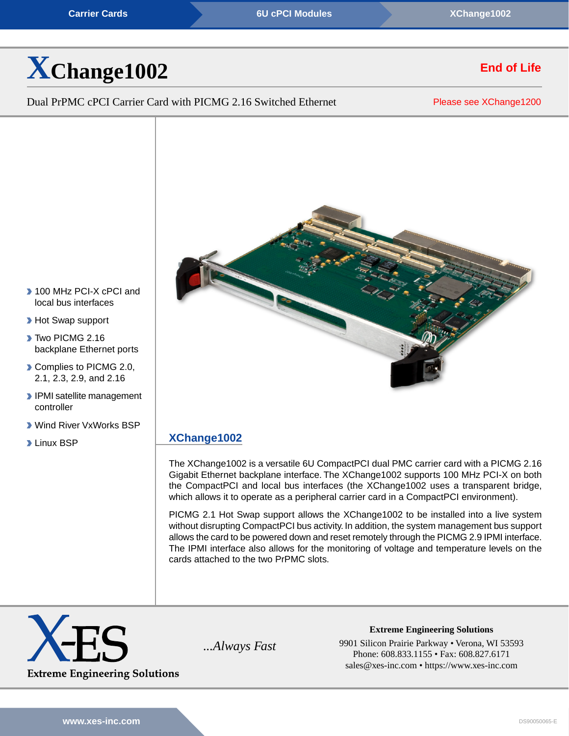**[Carrier Cards](https://www.xes-inc.com/product-category/carriers/?utm_source=dynamic&utm_medium=referral&utm_term=XChange1002&utm_content=Product%20Category&utm_campaign=Datasheet) [6U cPCI Modules](https://www.xes-inc.com/products-overview/compactpci-products/?utm_source=dynamic&utm_medium=referral&utm_term=XChange1002&utm_content=Form%20Factor&utm_campaign=Datasheet) 6U cPCI Modules** *[XChange1002](https://www.xes-inc.com/products/carriers/xchange1002/?utm_source=dynamic&utm_medium=referral&utm_term=XChange1002&utm_content=Header&utm_campaign=Datasheet)* 

# **[X](https://www.xes-inc.com/products/carriers/xchange1002/?utm_source=dynamic&utm_medium=referral&utm_term=XChange1002&utm_content=Title&utm_campaign=Datasheet)[Change1002](https://www.xes-inc.com/products/carriers/xchange1002/?utm_source=dynamic&utm_medium=referral&utm_term=XChange1002&utm_content=Title&utm_campaign=Datasheet)**

Dual PrPMC cPCI Carrier Card with PICMG 2.16 Switched Ethernet

Please see [XChange1200](https://www.xes-inc.com/carriers/xchange1200/?utm_source=dynamic&utm_medium=referral&utm_term=XChange1002&utm_content=NRND&utm_campaign=Datasheet)

**End of Life**



- 100 MHz PCI-X cPCI and local bus interfaces
- **Hot Swap support**
- Two PICMG 2.16 backplane Ethernet ports
- Complies to PICMG 2.0, 2.1, 2.3, 2.9, and 2.16
- **IPMI** satellite management controller
- Wind River VxWorks BSP
- **Linux BSP**

### **[XChange1002](https://www.xes-inc.com/products/carriers/xchange1002/?utm_source=dynamic&utm_medium=referral&utm_term=XChange1002&utm_content=Description%20Title&utm_campaign=Datasheet)**

The XChange1002 is a versatile 6U CompactPCI dual PMC carrier card with a PICMG 2.16 Gigabit Ethernet backplane interface. The XChange1002 supports 100 MHz PCI-X on both the CompactPCI and local bus interfaces (the XChange1002 uses a transparent bridge, which allows it to operate as a peripheral carrier card in a CompactPCI environment).

PICMG 2.1 Hot Swap support allows the XChange1002 to be installed into a live system without disrupting CompactPCI bus activity. In addition, the system management bus support allows the card to be powered down and reset remotely through the PICMG 2.9 IPMI interface. The IPMI interface also allows for the monitoring of voltage and temperature levels on the cards attached to the two PrPMC slots.



**Extreme Engineering Solutions** *...Always Fast* 9901 Silicon Prairie Parkway • Verona, WI 53593 Phone: 608.833.1155 • Fax: 608.827.6171 sales@xes-inc.com • <https://www.xes-inc.com>

**[www.xes-inc.com](https://www.xes-inc.com)** DS90050065-E